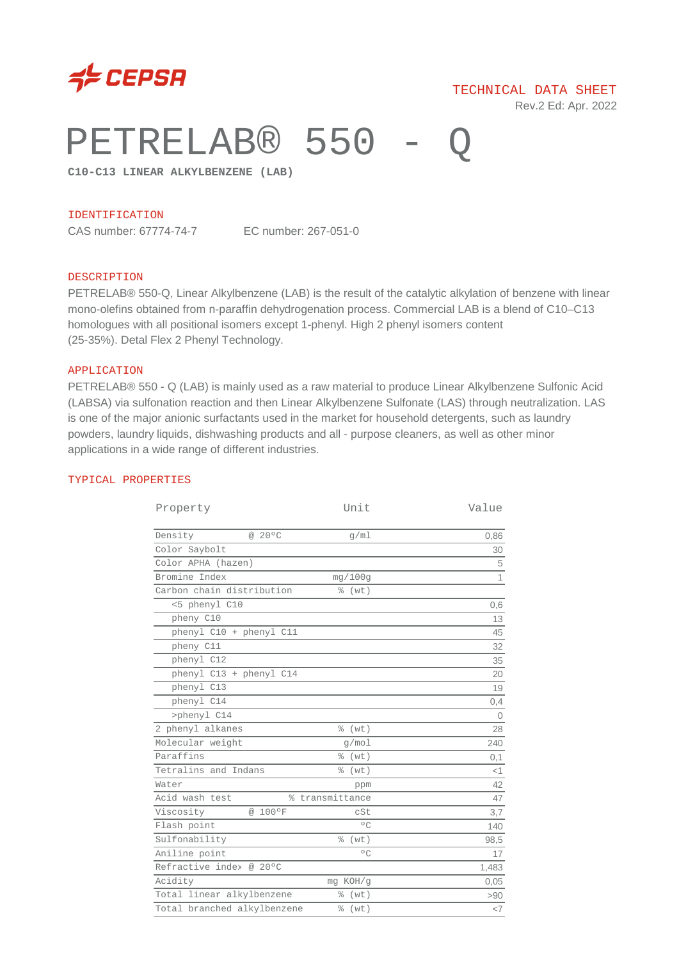

# PETRELAB® 550 -

**C10-C13 LINEAR ALKYLBENZENE (LAB)**

#### IDENTIFICATION

CAS number: 67774-74-7 EC number: 267-051-0

#### DESCRIPTION

PETRELAB® 550-Q, Linear Alkylbenzene (LAB) is the result of the catalytic alkylation of benzene with linear mono-olefins obtained from n-paraffin dehydrogenation process. Commercial LAB is a blend of C10–C13 homologues with all positional isomers except 1-phenyl. High 2 phenyl isomers content (25-35%). Detal Flex 2 Phenyl Technology.

#### APPLICATION

PETRELAB® 550 - Q (LAB) is mainly used as a raw material to produce Linear Alkylbenzene Sulfonic Acid (LABSA) via sulfonation reaction and then Linear Alkylbenzene Sulfonate (LAS) through neutralization. LAS is one of the major anionic surfactants used in the market for household detergents, such as laundry powders, laundry liquids, dishwashing products and all - purpose cleaners, as well as other minor applications in a wide range of different industries.

#### TYPICAL PROPERTIES

| Property                                     | Unit              | Value          |
|----------------------------------------------|-------------------|----------------|
| @ 20°C<br>Density                            | q/m1              | 0,86           |
| Color Saybolt                                |                   | 30             |
| Color APHA (hazen)                           |                   | 5              |
| Bromine Index                                | mg/100q           | $\overline{1}$ |
| Carbon chain distribution                    | 응<br>(wt)         |                |
| <5 phenyl C10                                |                   | 0,6            |
| pheny C10                                    |                   | 13             |
| phenyl C10 + phenyl C11                      |                   | 45             |
| pheny C11                                    |                   | 32             |
| phenyl C12                                   |                   | 35             |
| phenyl C13 + phenyl C14                      |                   | 20             |
| phenyl C13                                   |                   | 19             |
| phenyl C14                                   |                   | 0,4            |
| >phenyl C14                                  |                   | $\overline{0}$ |
| 2 phenyl alkanes                             | % (wt)            | 28             |
| Molecular weight                             | q/mol             | 240            |
| Paraffins                                    | (wt)<br>⊱         | 0,1            |
| Tetralins and Indans                         | $\approx$<br>(wt) | $<$ 1          |
| Water                                        | ppm               | 42             |
| Acid wash test<br>transmittance<br>$\approx$ |                   | 47             |
| @ 100°F<br>Viscosity                         | cSt               | 3,7            |
| Flash point                                  | $^{\circ}$ C      | 140            |
| Sulfonability                                | (wt)<br>٥Ŗ        | 98,5           |
| Aniline point                                | $\circ$ $\cap$    | 17             |
| Refractive index @ 20°C                      |                   | 1,483          |
| Acidity                                      | mg KOH/g          | 0,05           |
| Total linear alkylbenzene<br>% (wt)          |                   | >90            |
| Total branched alkylbenzene<br>% (wt)        |                   | $<$ 7          |